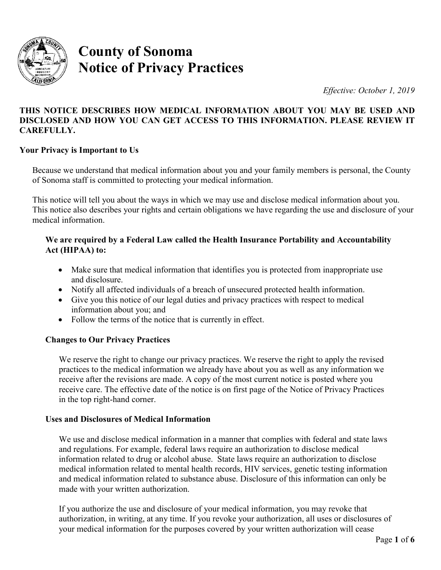

# **County of Sonoma Notice of Privacy Practices**

*Effective: October 1, 2019* 

# **THIS NOTICE DESCRIBES HOW MEDICAL INFORMATION ABOUT YOU MAY BE USED AND DISCLOSED AND HOW YOU CAN GET ACCESS TO THIS INFORMATION. PLEASE REVIEW IT CAREFULLY.**

## **Your Privacy is Important to Us**

Because we understand that medical information about you and your family members is personal, the County of Sonoma staff is committed to protecting your medical information.

 This notice also describes your rights and certain obligations we have regarding the use and disclosure of your This notice will tell you about the ways in which we may use and disclose medical information about you. medical information.

## **We are required by a Federal Law called the Health Insurance Portability and Accountability Act (HIPAA) to:**

- Make sure that medical information that identifies you is protected from inappropriate use and disclosure.
- Notify all affected individuals of a breach of unsecured protected health information.
- • Give you this notice of our legal duties and privacy practices with respect to medical information about you; and
- Follow the terms of the notice that is currently in effect.

# **Changes to Our Privacy Practices**

 practices to the medical information we already have about you as well as any information we We reserve the right to change our privacy practices. We reserve the right to apply the revised receive after the revisions are made. A copy of the most current notice is posted where you receive care. The effective date of the notice is on first page of the Notice of Privacy Practices in the top right-hand corner.

## **Uses and Disclosures of Medical Information**

We use and disclose medical information in a manner that complies with federal and state laws and regulations. For example, federal laws require an authorization to disclose medical information related to drug or alcohol abuse. State laws require an authorization to disclose medical information related to mental health records, HIV services, genetic testing information and medical information related to substance abuse. Disclosure of this information can only be made with your written authorization.

 If you authorize the use and disclosure of your medical information, you may revoke that authorization, in writing, at any time. If you revoke your authorization, all uses or disclosures of your medical information for the purposes covered by your written authorization will cease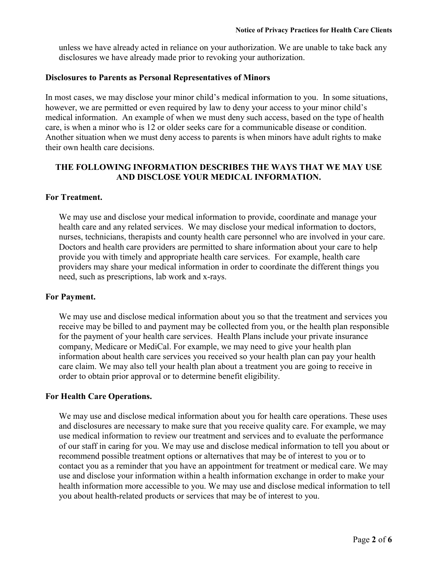disclosures we have already made prior to revoking your authorization. unless we have already acted in reliance on your authorization. We are unable to take back any

#### **Disclosures to Parents as Personal Representatives of Minors**

 however, we are permitted or even required by law to deny your access to your minor child's care, is when a minor who is 12 or older seeks care for a communicable disease or condition. In most cases, we may disclose your minor child's medical information to you. In some situations, medical information. An example of when we must deny such access, based on the type of health Another situation when we must deny access to parents is when minors have adult rights to make their own health care decisions.

## **THE FOLLOWING INFORMATION DESCRIBES THE WAYS THAT WE MAY USE AND DISCLOSE YOUR MEDICAL INFORMATION.**

#### **For Treatment.**

 We may use and disclose your medical information to provide, coordinate and manage your health care and any related services. We may disclose your medical information to doctors, nurses, technicians, therapists and county health care personnel who are involved in your care. Doctors and health care providers are permitted to share information about your care to help provide you with timely and appropriate health care services. For example, health care providers may share your medical information in order to coordinate the different things you need, such as prescriptions, lab work and x-rays.

#### **For Payment.**

 for the payment of your health care services. Health Plans include your private insurance care claim. We may also tell your health plan about a treatment you are going to receive in We may use and disclose medical information about you so that the treatment and services you receive may be billed to and payment may be collected from you, or the health plan responsible company, Medicare or MediCal. For example, we may need to give your health plan information about health care services you received so your health plan can pay your health order to obtain prior approval or to determine benefit eligibility.

#### **For Health Care Operations.**

 contact you as a reminder that you have an appointment for treatment or medical care. We may use and disclose your information within a health information exchange in order to make your health information more accessible to you. We may use and disclose medical information to tell We may use and disclose medical information about you for health care operations. These uses and disclosures are necessary to make sure that you receive quality care. For example, we may use medical information to review our treatment and services and to evaluate the performance of our staff in caring for you. We may use and disclose medical information to tell you about or recommend possible treatment options or alternatives that may be of interest to you or to you about health-related products or services that may be of interest to you.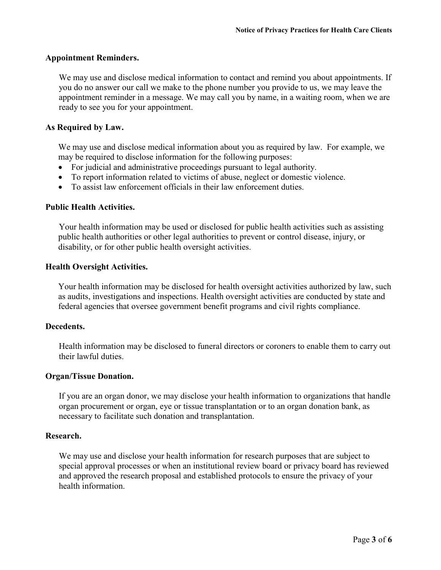## **Appointment Reminders.**

 appointment reminder in a message. We may call you by name, in a waiting room, when we are ready to see you for your appointment. We may use and disclose medical information to contact and remind you about appointments. If you do no answer our call we make to the phone number you provide to us, we may leave the

## **As Required by Law.**

We may use and disclose medical information about you as required by law. For example, we may be required to disclose information for the following purposes:

- For judicial and administrative proceedings pursuant to legal authority.
- To report information related to victims of abuse, neglect or domestic violence.
- To assist law enforcement officials in their law enforcement duties.

#### **Public Health Activities.**

Your health information may be used or disclosed for public health activities such as assisting public health authorities or other legal authorities to prevent or control disease, injury, or disability, or for other public health oversight activities.

#### **Health Oversight Activities.**

Your health information may be disclosed for health oversight activities authorized by law, such as audits, investigations and inspections. Health oversight activities are conducted by state and federal agencies that oversee government benefit programs and civil rights compliance.

#### **Decedents.**

Health information may be disclosed to funeral directors or coroners to enable them to carry out their lawful duties.

#### **Organ/Tissue Donation.**

If you are an organ donor, we may disclose your health information to organizations that handle organ procurement or organ, eye or tissue transplantation or to an organ donation bank, as necessary to facilitate such donation and transplantation.

#### **Research.**

 We may use and disclose your health information for research purposes that are subject to and approved the research proposal and established protocols to ensure the privacy of your special approval processes or when an institutional review board or privacy board has reviewed health information.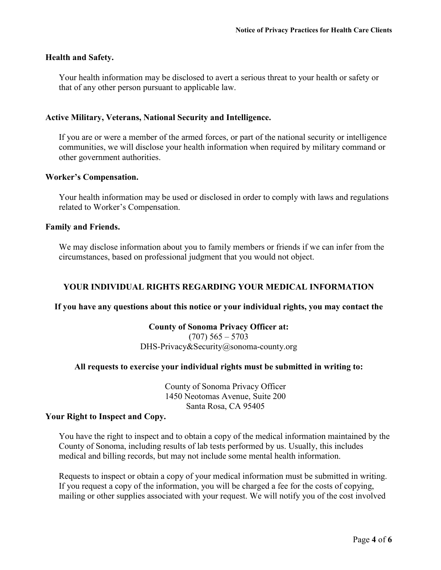## **Health and Safety.**

Your health information may be disclosed to avert a serious threat to your health or safety or that of any other person pursuant to applicable law.

## **Active Military, Veterans, National Security and Intelligence.**

If you are or were a member of the armed forces, or part of the national security or intelligence communities, we will disclose your health information when required by military command or other government authorities.

#### **Worker's Compensation.**

Your health information may be used or disclosed in order to comply with laws and regulations related to Worker's Compensation.

#### **Family and Friends.**

We may disclose information about you to family members or friends if we can infer from the circumstances, based on professional judgment that you would not object.

## **YOUR INDIVIDUAL RIGHTS REGARDING YOUR MEDICAL INFORMATION**

#### **If you have any questions about this notice or your individual rights, you may contact the**

#### **County of Sonoma Privacy Officer at:**

 $(707)$  565 – 5703 [DHS-Privacy&Security@sonoma-county.org](mailto:DHS-Privacy&Security@sonoma-county.org) 

## **All requests to exercise your individual rights must be submitted in writing to:**

 County of Sonoma Privacy Officer 1450 Neotomas Avenue, Suite 200 Santa Rosa, CA 95405

#### **Your Right to Inspect and Copy.**

 County of Sonoma, including results of lab tests performed by us. Usually, this includes You have the right to inspect and to obtain a copy of the medical information maintained by the medical and billing records, but may not include some mental health information.

 If you request a copy of the information, you will be charged a fee for the costs of copying, Requests to inspect or obtain a copy of your medical information must be submitted in writing. mailing or other supplies associated with your request. We will notify you of the cost involved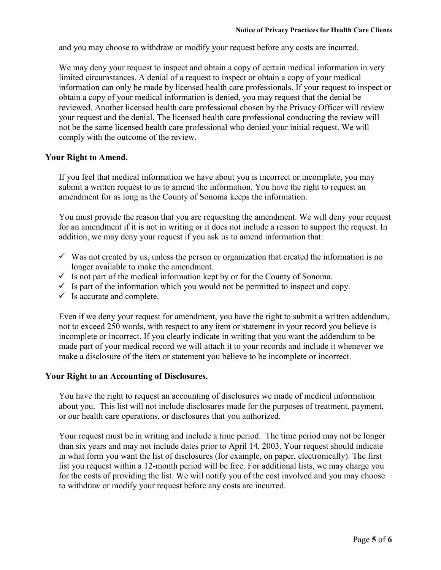and you may choose to withdraw or modify your request before any costs are incurred.

 limited circumstances. A denial of a request to inspect or obtain a copy of your medical your request and the denial. The licensed health care professional conducting the review will We may deny your request to inspect and obtain a copy of certain medical information in very information can only be made by licensed health care professionals. If your request to inspect or obtain a copy of your medical information is denied, you may request that the denial be reviewed. Another licensed health care professional chosen by the Privacy Officer will review not be the same licensed health care professional who denied your initial request. We will comply with the outcome of the review.

## **Your Right to Amend.**

 amendment for as long as the County of Sonoma keeps the information. If you feel that medical information we have about you is incorrect or incomplete, you may submit a written request to us to amend the information. You have the right to request an

 You must provide the reason that you are requesting the amendment. We will deny your request for an amendment if it is not in writing or it does not include a reason to support the request. In addition, we may deny your request if you ask us to amend information that:

- $\checkmark$  Was not created by us, unless the person or organization that created the information is no longer available to make the amendment.
- $\checkmark$  Is not part of the medical information kept by or for the County of Sonoma.
- $\checkmark$  Is part of the information which you would not be permitted to inspect and copy.
- $\checkmark$  Is accurate and complete.

 incomplete or incorrect. If you clearly indicate in writing that you want the addendum to be Even if we deny your request for amendment, you have the right to submit a written addendum, not to exceed 250 words, with respect to any item or statement in your record you believe is made part of your medical record we will attach it to your records and include it whenever we make a disclosure of the item or statement you believe to be incomplete or incorrect.

## **Your Right to an Accounting of Disclosures.**

You have the right to request an accounting of disclosures we made of medical information about you. This list will not include disclosures made for the purposes of treatment, payment, or our health care operations, or disclosures that you authorized.

 in what form you want the list of disclosures (for example, on paper, electronically). The first for the costs of providing the list. We will notify you of the cost involved and you may choose to withdraw or modify your request before any costs are incurred. Your request must be in writing and include a time period. The time period may not be longer than six years and may not include dates prior to April 14, 2003. Your request should indicate list you request within a 12-month period will be free. For additional lists, we may charge you